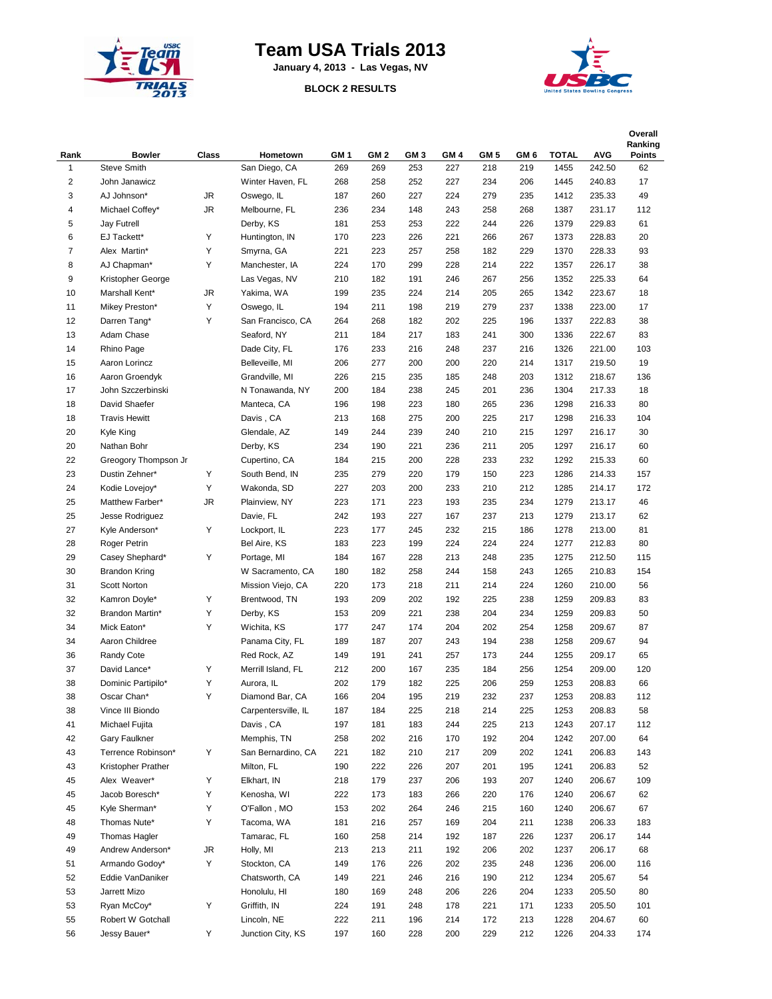

## **Team USA Trials 2013**

**January 4, 2013 - Las Vegas, NV**

**BLOCK 2 RESULTS**



| Rank         | <b>Bowler</b>                 | Class  | Hometown            | GM <sub>1</sub> | GM <sub>2</sub> | GM <sub>3</sub> | GM <sub>4</sub> | GM <sub>5</sub> | GM <sub>6</sub> | <b>TOTAL</b> | <b>AVG</b> | Overall<br>Ranking<br><b>Points</b> |
|--------------|-------------------------------|--------|---------------------|-----------------|-----------------|-----------------|-----------------|-----------------|-----------------|--------------|------------|-------------------------------------|
| $\mathbf{1}$ | <b>Steve Smith</b>            |        | San Diego, CA       | 269             | 269             | 253             | 227             | 218             | 219             | 1455         | 242.50     | 62                                  |
| 2            | John Janawicz                 |        | Winter Haven, FL    | 268             | 258             | 252             | 227             | 234             | 206             | 1445         | 240.83     | 17                                  |
| 3            | AJ Johnson*                   | JR     | Oswego, IL          | 187             | 260             | 227             | 224             | 279             | 235             | 1412         | 235.33     | 49                                  |
| 4            | Michael Coffey*               | JR     | Melbourne, FL       | 236             | 234             | 148             | 243             | 258             | 268             | 1387         | 231.17     | 112                                 |
| 5            | Jay Futrell                   |        | Derby, KS           | 181             | 253             | 253             | 222             | 244             | 226             | 1379         | 229.83     | 61                                  |
| 6            | EJ Tackett*                   | Υ      | Huntington, IN      | 170             | 223             | 226             | 221             | 266             | 267             | 1373         | 228.83     | 20                                  |
| 7            | Alex Martin*                  | Υ      | Smyrna, GA          | 221             | 223             | 257             | 258             | 182             | 229             | 1370         | 228.33     | 93                                  |
| 8            | AJ Chapman*                   | Υ      | Manchester, IA      | 224             | 170             | 299             | 228             | 214             | 222             | 1357         | 226.17     | 38                                  |
| 9            | Kristopher George             |        | Las Vegas, NV       | 210             | 182             | 191             | 246             | 267             | 256             | 1352         | 225.33     | 64                                  |
| 10           | Marshall Kent*                | JR     | Yakima, WA          | 199             | 235             | 224             | 214             | 205             | 265             | 1342         | 223.67     | 18                                  |
| 11           | Mikey Preston*                | Υ      | Oswego, IL          | 194             | 211             | 198             | 219             | 279             | 237             | 1338         | 223.00     | 17                                  |
| 12           | Darren Tang*                  | Υ      | San Francisco, CA   | 264             | 268             | 182             | 202             | 225             | 196             | 1337         | 222.83     | 38                                  |
| 13           | Adam Chase                    |        | Seaford, NY         | 211             | 184             | 217             | 183             | 241             | 300             | 1336         | 222.67     | 83                                  |
| 14           | Rhino Page                    |        | Dade City, FL       | 176             | 233             | 216             | 248             | 237             | 216             | 1326         | 221.00     | 103                                 |
| 15           | Aaron Lorincz                 |        | Belleveille, MI     | 206             | 277             | 200             | 200             | 220             | 214             | 1317         | 219.50     | 19                                  |
| 16           | Aaron Groendyk                |        | Grandville, MI      | 226             | 215             | 235             | 185             | 248             | 203             | 1312         | 218.67     | 136                                 |
| 17           | John Szczerbinski             |        | N Tonawanda, NY     | 200             | 184             | 238             | 245             | 201             | 236             | 1304         | 217.33     | 18                                  |
| 18           | David Shaefer                 |        | Manteca, CA         | 196             | 198             | 223             | 180             | 265             | 236             | 1298         | 216.33     | 80                                  |
| 18           | <b>Travis Hewitt</b>          |        | Davis, CA           | 213             | 168             | 275             | 200             | 225             | 217             | 1298         | 216.33     | 104                                 |
| 20           | <b>Kyle King</b>              |        | Glendale, AZ        | 149             | 244             | 239             | 240             | 210             | 215             | 1297         | 216.17     | 30                                  |
| 20           | Nathan Bohr                   |        | Derby, KS           | 234             | 190             | 221             | 236             | 211             | 205             | 1297         | 216.17     | 60                                  |
| 22           | Greogory Thompson Jr          |        | Cupertino, CA       | 184             | 215             | 200             | 228             | 233             | 232             | 1292         | 215.33     | 60                                  |
| 23           | Dustin Zehner*                | Υ      | South Bend, IN      | 235             | 279             | 220             | 179             | 150             | 223             | 1286         | 214.33     | 157                                 |
| 24           | Kodie Lovejoy*                | Υ      | Wakonda, SD         | 227             | 203             | 200             | 233             | 210             | 212             | 1285         | 214.17     | 172                                 |
| 25           | Matthew Farber*               | JR     | Plainview, NY       | 223             | 171             | 223             | 193             | 235             | 234             | 1279         | 213.17     | 46                                  |
| 25           | Jesse Rodriguez               |        | Davie, FL           | 242             | 193             | 227             | 167             | 237             | 213             | 1279         | 213.17     | 62                                  |
| 27           | Kyle Anderson*                | Y      | Lockport, IL        | 223             | 177             | 245             | 232             | 215             | 186             | 1278         | 213.00     | 81                                  |
| 28           |                               |        | Bel Aire, KS        | 183             | 223             | 199             | 224             | 224             | 224             | 1277         | 212.83     | 80                                  |
| 29           | Roger Petrin                  | Υ      |                     | 184             | 167             | 228             | 213             | 248             | 235             | 1275         | 212.50     | 115                                 |
| 30           | Casey Shephard*               |        | Portage, MI         |                 |                 | 258             | 244             | 158             |                 |              | 210.83     |                                     |
|              | <b>Brandon Kring</b>          |        | W Sacramento, CA    | 180             | 182             |                 |                 | 214             | 243             | 1265         |            | 154                                 |
| 31           | Scott Norton                  |        | Mission Viejo, CA   | 220             | 173             | 218             | 211             |                 | 224             | 1260         | 210.00     | 56                                  |
| 32<br>32     | Kamron Doyle*                 | Υ<br>Υ | Brentwood, TN       | 193             | 209<br>209      | 202<br>221      | 192<br>238      | 225<br>204      | 238             | 1259         | 209.83     | 83                                  |
| 34           | Brandon Martin*               | Υ      | Derby, KS           | 153             | 247             | 174             | 204             | 202             | 234<br>254      | 1259         | 209.83     | 50<br>87                            |
|              | Mick Eaton*<br>Aaron Childree |        | Wichita, KS         | 177             |                 |                 |                 |                 |                 | 1258         | 209.67     |                                     |
| 34           |                               |        | Panama City, FL     | 189             | 187             | 207             | 243             | 194             | 238             | 1258         | 209.67     | 94                                  |
| 36           | Randy Cote                    |        | Red Rock, AZ        | 149             | 191             | 241             | 257             | 173             | 244             | 1255         | 209.17     | 65                                  |
| 37           | David Lance*                  | Υ      | Merrill Island, FL  | 212             | 200             | 167             | 235             | 184             | 256             | 1254         | 209.00     | 120                                 |
| 38           | Dominic Partipilo*            | Υ      | Aurora, IL          | 202             | 179             | 182             | 225             | 206             | 259             | 1253         | 208.83     | 66                                  |
| 38           | Oscar Chan*                   | Y      | Diamond Bar, CA     | 166             | 204             | 195             | 219             | 232             | 237             | 1253         | 208.83     | 112                                 |
| 38           | Vince III Biondo              |        | Carpentersville, IL | 187             | 184             | 225             | 218             | 214             | 225             | 1253         | 208.83     | 58                                  |
| 41           | Michael Fujita                |        | Davis, CA           | 197             | 181             | 183             | 244             | 225             | 213             | 1243         | 207.17     | 112                                 |
| 42           | Gary Faulkner                 |        | Memphis, TN         | 258             | 202             | 216             | 170             | 192             | 204             | 1242         | 207.00     | 64                                  |
| 43           | Terrence Robinson*            | Υ      | San Bernardino, CA  | 221             | 182             | 210             | 217             | 209             | 202             | 1241         | 206.83     | 143                                 |
| 43           | Kristopher Prather            |        | Milton, FL          | 190             | 222             | 226             | 207             | 201             | 195             | 1241         | 206.83     | 52                                  |
| 45           | Alex Weaver*                  | Υ      | Elkhart, IN         | 218             | 179             | 237             | 206             | 193             | 207             | 1240         | 206.67     | 109                                 |
| 45           | Jacob Boresch*                | Υ      | Kenosha, WI         | 222             | 173             | 183             | 266             | 220             | 176             | 1240         | 206.67     | 62                                  |
| 45           | Kyle Sherman*                 | Υ      | O'Fallon, MO        | 153             | 202             | 264             | 246             | 215             | 160             | 1240         | 206.67     | 67                                  |
| 48           | Thomas Nute*                  | Υ      | Tacoma, WA          | 181             | 216             | 257             | 169             | 204             | 211             | 1238         | 206.33     | 183                                 |
| 49           | Thomas Hagler                 |        | Tamarac, FL         | 160             | 258             | 214             | 192             | 187             | 226             | 1237         | 206.17     | 144                                 |
| 49           | Andrew Anderson*              | JR     | Holly, MI           | 213             | 213             | 211             | 192             | 206             | 202             | 1237         | 206.17     | 68                                  |
| 51           | Armando Godoy*                | Y      | Stockton, CA        | 149             | 176             | 226             | 202             | 235             | 248             | 1236         | 206.00     | 116                                 |
| 52           | Eddie VanDaniker              |        | Chatsworth, CA      | 149             | 221             | 246             | 216             | 190             | 212             | 1234         | 205.67     | 54                                  |
| 53           | Jarrett Mizo                  |        | Honolulu, HI        | 180             | 169             | 248             | 206             | 226             | 204             | 1233         | 205.50     | 80                                  |
| 53           | Ryan McCoy*                   | Υ      | Griffith, IN        | 224             | 191             | 248             | 178             | 221             | 171             | 1233         | 205.50     | 101                                 |
| 55           | Robert W Gotchall             |        | Lincoln, NE         | 222             | 211             | 196             | 214             | 172             | 213             | 1228         | 204.67     | 60                                  |
| 56           | Jessy Bauer*                  | Υ      | Junction City, KS   | 197             | 160             | 228             | 200             | 229             | 212             | 1226         | 204.33     | 174                                 |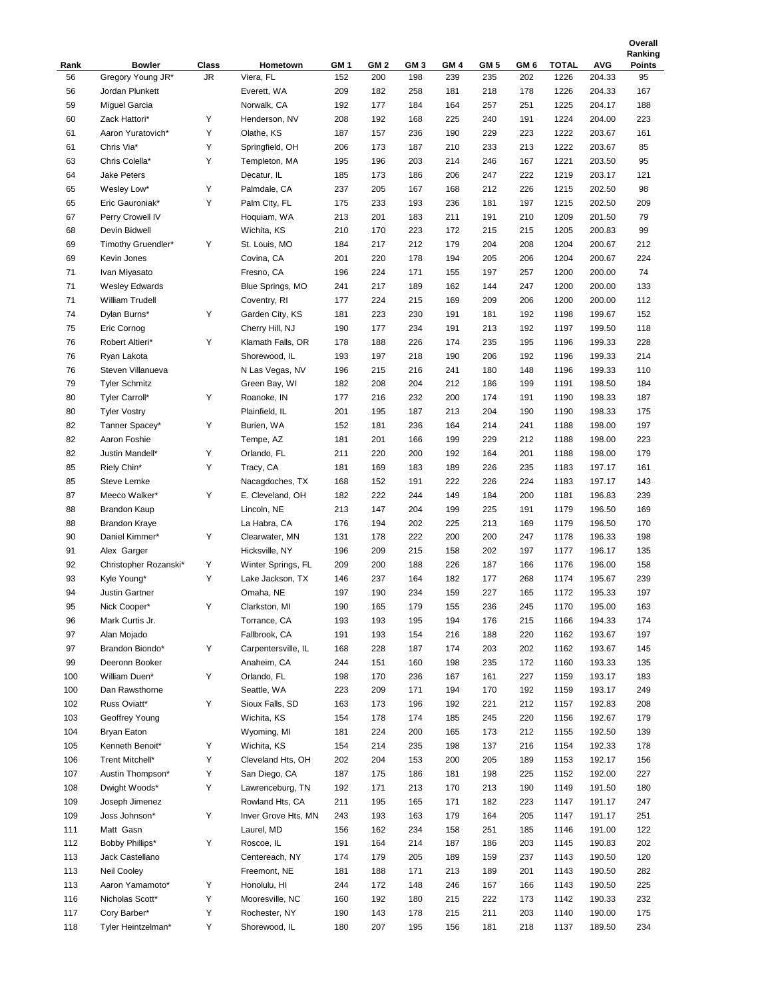|      |                       |       |                     |                 |                 |                 |      |      |      |              |            | Ranking       |
|------|-----------------------|-------|---------------------|-----------------|-----------------|-----------------|------|------|------|--------------|------------|---------------|
| Rank | <b>Bowler</b>         | Class | Hometown            | GM <sub>1</sub> | GM <sub>2</sub> | GM <sub>3</sub> | GM 4 | GM 5 | GM 6 | <b>TOTAL</b> | <b>AVG</b> | <b>Points</b> |
| 56   | Gregory Young JR*     | JR.   | Viera, FL           | 152             | 200             | 198             | 239  | 235  | 202  | 1226         | 204.33     | 95            |
| 56   | Jordan Plunkett       |       | Everett, WA         | 209             | 182             | 258             | 181  | 218  | 178  | 1226         | 204.33     | 167           |
| 59   | <b>Miguel Garcia</b>  |       | Norwalk, CA         | 192             | 177             | 184             | 164  | 257  | 251  | 1225         | 204.17     | 188           |
| 60   | Zack Hattori*         | Υ     | Henderson, NV       | 208             | 192             | 168             | 225  | 240  | 191  | 1224         | 204.00     | 223           |
| 61   | Aaron Yuratovich*     | Υ     | Olathe, KS          | 187             | 157             | 236             | 190  | 229  | 223  | 1222         | 203.67     | 161           |
| 61   | Chris Via*            | Υ     | Springfield, OH     | 206             | 173             | 187             | 210  | 233  | 213  | 1222         | 203.67     | 85            |
| 63   | Chris Colella*        | Υ     | Templeton, MA       | 195             | 196             | 203             | 214  | 246  | 167  | 1221         | 203.50     | 95            |
| 64   | <b>Jake Peters</b>    |       | Decatur, IL         | 185             | 173             | 186             | 206  | 247  | 222  | 1219         | 203.17     | 121           |
| 65   | Wesley Low*           | Υ     | Palmdale, CA        | 237             | 205             | 167             | 168  | 212  | 226  | 1215         | 202.50     | 98            |
| 65   | Eric Gauroniak*       | Υ     | Palm City, FL       | 175             | 233             | 193             | 236  | 181  | 197  | 1215         | 202.50     | 209           |
| 67   | Perry Crowell IV      |       | Hoquiam, WA         | 213             | 201             | 183             | 211  | 191  | 210  | 1209         | 201.50     | 79            |
| 68   | Devin Bidwell         |       | Wichita, KS         | 210             | 170             | 223             | 172  | 215  | 215  | 1205         | 200.83     | 99            |
| 69   | Timothy Gruendler*    | Υ     | St. Louis, MO       | 184             | 217             | 212             | 179  | 204  | 208  | 1204         | 200.67     | 212           |
| 69   | Kevin Jones           |       | Covina, CA          | 201             | 220             | 178             | 194  | 205  | 206  | 1204         | 200.67     | 224           |
| 71   | Ivan Miyasato         |       | Fresno, CA          | 196             | 224             | 171             | 155  | 197  | 257  | 1200         | 200.00     | 74            |
| 71   | <b>Wesley Edwards</b> |       | Blue Springs, MO    | 241             | 217             | 189             | 162  | 144  | 247  | 1200         | 200.00     | 133           |
| 71   | William Trudell       |       | Coventry, RI        | 177             | 224             | 215             | 169  | 209  | 206  | 1200         | 200.00     | 112           |
| 74   | Dylan Burns*          | Y     | Garden City, KS     | 181             | 223             | 230             | 191  | 181  | 192  | 1198         | 199.67     | 152           |
| 75   | Eric Cornog           |       | Cherry Hill, NJ     | 190             | 177             | 234             | 191  | 213  | 192  | 1197         | 199.50     | 118           |
| 76   | Robert Altieri*       | Υ     | Klamath Falls, OR   | 178             | 188             | 226             | 174  | 235  | 195  | 1196         | 199.33     | 228           |
| 76   | Ryan Lakota           |       | Shorewood, IL       | 193             | 197             | 218             | 190  | 206  | 192  | 1196         | 199.33     | 214           |
| 76   | Steven Villanueva     |       | N Las Vegas, NV     | 196             | 215             | 216             | 241  | 180  | 148  | 1196         | 199.33     | 110           |
| 79   |                       |       | Green Bay, WI       | 182             | 208             | 204             | 212  | 186  | 199  | 1191         | 198.50     | 184           |
| 80   | <b>Tyler Schmitz</b>  | Y     |                     |                 | 216             | 232             | 200  | 174  |      |              | 198.33     |               |
|      | Tyler Carroll*        |       | Roanoke, IN         | 177             |                 |                 |      |      | 191  | 1190         |            | 187           |
| 80   | <b>Tyler Vostry</b>   |       | Plainfield, IL      | 201             | 195             | 187             | 213  | 204  | 190  | 1190         | 198.33     | 175           |
| 82   | Tanner Spacey*        | Υ     | Burien, WA          | 152             | 181             | 236             | 164  | 214  | 241  | 1188         | 198.00     | 197           |
| 82   | Aaron Foshie          |       | Tempe, AZ           | 181             | 201             | 166             | 199  | 229  | 212  | 1188         | 198.00     | 223           |
| 82   | Justin Mandell*       | Υ     | Orlando, FL         | 211             | 220             | 200             | 192  | 164  | 201  | 1188         | 198.00     | 179           |
| 85   | Riely Chin*           | Υ     | Tracy, CA           | 181             | 169             | 183             | 189  | 226  | 235  | 1183         | 197.17     | 161           |
| 85   | <b>Steve Lemke</b>    |       | Nacagdoches, TX     | 168             | 152             | 191             | 222  | 226  | 224  | 1183         | 197.17     | 143           |
| 87   | Meeco Walker*         | Υ     | E. Cleveland, OH    | 182             | 222             | 244             | 149  | 184  | 200  | 1181         | 196.83     | 239           |
| 88   | <b>Brandon Kaup</b>   |       | Lincoln, NE         | 213             | 147             | 204             | 199  | 225  | 191  | 1179         | 196.50     | 169           |
| 88   | <b>Brandon Kraye</b>  |       | La Habra, CA        | 176             | 194             | 202             | 225  | 213  | 169  | 1179         | 196.50     | 170           |
| 90   | Daniel Kimmer*        | Υ     | Clearwater, MN      | 131             | 178             | 222             | 200  | 200  | 247  | 1178         | 196.33     | 198           |
| 91   | Alex Garger           |       | Hicksville, NY      | 196             | 209             | 215             | 158  | 202  | 197  | 1177         | 196.17     | 135           |
| 92   | Christopher Rozanski* | Υ     | Winter Springs, FL  | 209             | 200             | 188             | 226  | 187  | 166  | 1176         | 196.00     | 158           |
| 93   | Kyle Young*           | Υ     | Lake Jackson, TX    | 146             | 237             | 164             | 182  | 177  | 268  | 1174         | 195.67     | 239           |
| 94   | <b>Justin Gartner</b> |       | Omaha, NE           | 197             | 190             | 234             | 159  | 227  | 165  | 1172         | 195.33     | 197           |
| 95   | Nick Cooper*          | Υ     | Clarkston, MI       | 190             | 165             | 179             | 155  | 236  | 245  | 1170         | 195.00     | 163           |
| 96   | Mark Curtis Jr.       |       | Torrance, CA        | 193             | 193             | 195             | 194  | 176  | 215  | 1166         | 194.33     | 174           |
| 97   | Alan Mojado           |       | Fallbrook, CA       | 191             | 193             | 154             | 216  | 188  | 220  | 1162         | 193.67     | 197           |
| 97   | Brandon Biondo*       | Y     | Carpentersville, IL | 168             | 228             | 187             | 174  | 203  | 202  | 1162         | 193.67     | 145           |
| 99   | Deeronn Booker        |       | Anaheim, CA         | 244             | 151             | 160             | 198  | 235  | 172  | 1160         | 193.33     | 135           |
| 100  | William Duen*         | Y     | Orlando, FL         | 198             | 170             | 236             | 167  | 161  | 227  | 1159         | 193.17     | 183           |
| 100  | Dan Rawsthorne        |       | Seattle, WA         | 223             | 209             | 171             | 194  | 170  | 192  | 1159         | 193.17     | 249           |
| 102  | Russ Oviatt*          | Y     | Sioux Falls, SD     | 163             | 173             | 196             | 192  | 221  | 212  | 1157         | 192.83     | 208           |
| 103  | Geoffrey Young        |       | Wichita, KS         | 154             | 178             | 174             | 185  | 245  | 220  | 1156         | 192.67     | 179           |
| 104  | <b>Bryan Eaton</b>    |       | Wyoming, MI         | 181             | 224             | 200             | 165  | 173  | 212  | 1155         | 192.50     | 139           |
| 105  | Kenneth Benoit*       | Y     | Wichita, KS         | 154             | 214             | 235             | 198  | 137  | 216  | 1154         | 192.33     | 178           |
|      |                       |       |                     |                 |                 |                 |      |      |      |              |            |               |
| 106  | Trent Mitchell*       | Y     | Cleveland Hts, OH   | 202             | 204             | 153             | 200  | 205  | 189  | 1153         | 192.17     | 156           |
| 107  | Austin Thompson*      | Y     | San Diego, CA       | 187             | 175             | 186             | 181  | 198  | 225  | 1152         | 192.00     | 227           |
| 108  | Dwight Woods*         | Y     | Lawrenceburg, TN    | 192             | 171             | 213             | 170  | 213  | 190  | 1149         | 191.50     | 180           |
| 109  | Joseph Jimenez        |       | Rowland Hts, CA     | 211             | 195             | 165             | 171  | 182  | 223  | 1147         | 191.17     | 247           |
| 109  | Joss Johnson*         | Y     | Inver Grove Hts, MN | 243             | 193             | 163             | 179  | 164  | 205  | 1147         | 191.17     | 251           |
| 111  | Matt Gasn             |       | Laurel, MD          | 156             | 162             | 234             | 158  | 251  | 185  | 1146         | 191.00     | 122           |
| 112  | Bobby Phillips*       | Y     | Roscoe, IL          | 191             | 164             | 214             | 187  | 186  | 203  | 1145         | 190.83     | 202           |
| 113  | Jack Castellano       |       | Centereach, NY      | 174             | 179             | 205             | 189  | 159  | 237  | 1143         | 190.50     | 120           |
| 113  | Neil Cooley           |       | Freemont, NE        | 181             | 188             | 171             | 213  | 189  | 201  | 1143         | 190.50     | 282           |
| 113  | Aaron Yamamoto*       | Υ     | Honolulu, HI        | 244             | 172             | 148             | 246  | 167  | 166  | 1143         | 190.50     | 225           |
| 116  | Nicholas Scott*       | Υ     | Mooresville, NC     | 160             | 192             | 180             | 215  | 222  | 173  | 1142         | 190.33     | 232           |
| 117  | Cory Barber*          | Υ     | Rochester, NY       | 190             | 143             | 178             | 215  | 211  | 203  | 1140         | 190.00     | 175           |
| 118  | Tyler Heintzelman*    | Y     | Shorewood, IL       | 180             | 207             | 195             | 156  | 181  | 218  | 1137         | 189.50     | 234           |

**Overall**